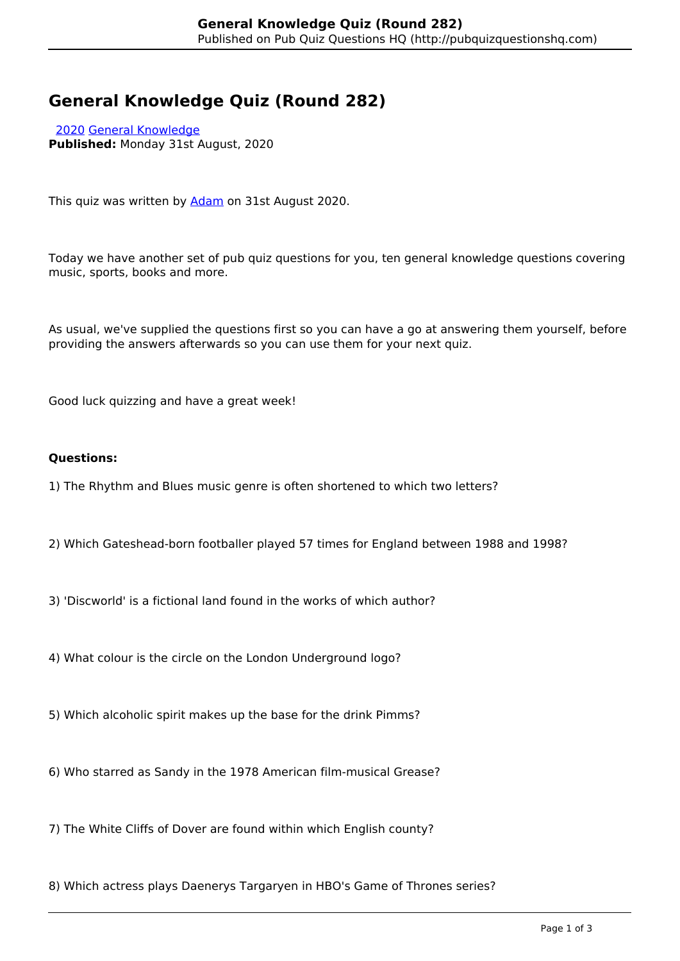# **General Knowledge Quiz (Round 282)**

 [2020](http://pubquizquestionshq.com/categories/2020) [General Knowledge](http://pubquizquestionshq.com/categories/general-knowledge) **Published:** Monday 31st August, 2020

This quiz was written by [Adam](https://www.buymeacoffee.com/pubquizhq) on 31st August 2020.

Today we have another set of pub quiz questions for you, ten general knowledge questions covering music, sports, books and more.

As usual, we've supplied the questions first so you can have a go at answering them yourself, before providing the answers afterwards so you can use them for your next quiz.

Good luck quizzing and have a great week!

#### **Questions:**

- 1) The Rhythm and Blues music genre is often shortened to which two letters?
- 2) Which Gateshead-born footballer played 57 times for England between 1988 and 1998?
- 3) 'Discworld' is a fictional land found in the works of which author?
- 4) What colour is the circle on the London Underground logo?
- 5) Which alcoholic spirit makes up the base for the drink Pimms?
- 6) Who starred as Sandy in the 1978 American film-musical Grease?
- 7) The White Cliffs of Dover are found within which English county?
- 8) Which actress plays Daenerys Targaryen in HBO's Game of Thrones series?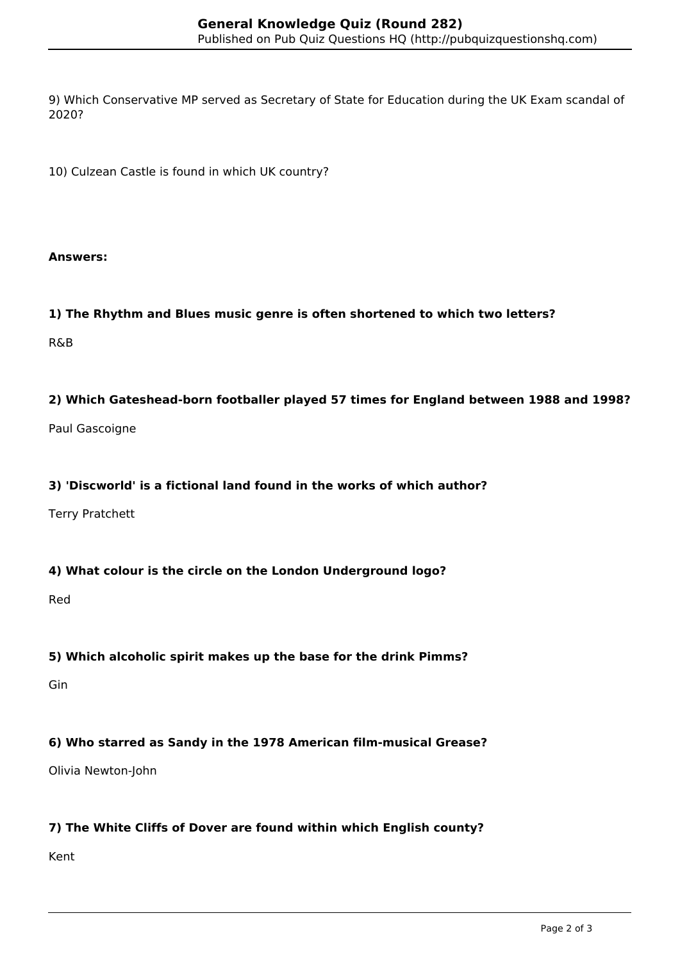9) Which Conservative MP served as Secretary of State for Education during the UK Exam scandal of 2020?

10) Culzean Castle is found in which UK country?

#### **Answers:**

## **1) The Rhythm and Blues music genre is often shortened to which two letters?**

R&B

## **2) Which Gateshead-born footballer played 57 times for England between 1988 and 1998?**

Paul Gascoigne

## **3) 'Discworld' is a fictional land found in the works of which author?**

Terry Pratchett

## **4) What colour is the circle on the London Underground logo?**

Red

# **5) Which alcoholic spirit makes up the base for the drink Pimms?**

Gin

# **6) Who starred as Sandy in the 1978 American film-musical Grease?**

Olivia Newton-John

# **7) The White Cliffs of Dover are found within which English county?**

Kent